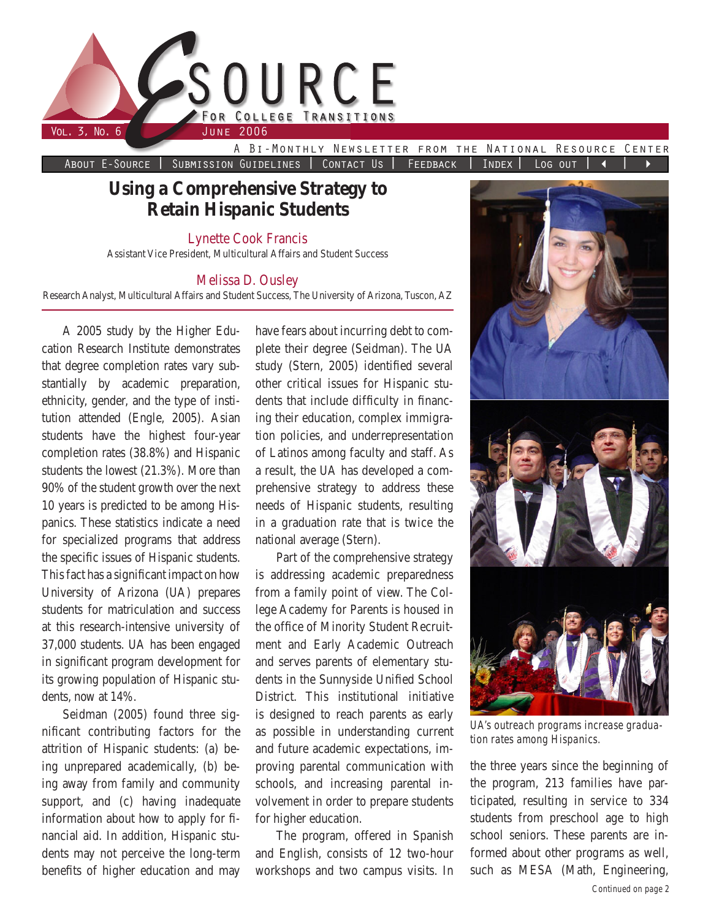

About E-Source | Submission Guidelines | Contact Us | FEEDBACK | INDEX | Log out | 4

# **Using a Comprehensive Strategy to Retain Hispanic Students**

Lynette Cook Francis

Assistant Vice President, Multicultural Affairs and Student Success

### Melissa D. Ousley

Research Analyst, Multicultural Affairs and Student Success, The University of Arizona, Tuscon, AZ

A 2005 study by the Higher Education Research Institute demonstrates that degree completion rates vary substantially by academic preparation, ethnicity, gender, and the type of institution attended (Engle, 2005). Asian students have the highest four-year completion rates (38.8%) and Hispanic students the lowest (21.3%). More than 90% of the student growth over the next 10 years is predicted to be among Hispanics. These statistics indicate a need for specialized programs that address the specific issues of Hispanic students. This fact has a significant impact on how University of Arizona (UA) prepares students for matriculation and success at this research-intensive university of 37,000 students. UA has been engaged in significant program development for its growing population of Hispanic students, now at 14%.

Seidman (2005) found three significant contributing factors for the attrition of Hispanic students: (a) being unprepared academically, (b) being away from family and community support, and (c) having inadequate information about how to apply for financial aid. In addition, Hispanic students may not perceive the long-term benefits of higher education and may

have fears about incurring debt to complete their degree (Seidman). The UA study (Stern, 2005) identified several other critical issues for Hispanic students that include difficulty in financing their education, complex immigration policies, and underrepresentation of Latinos among faculty and staff. As a result, the UA has developed a comprehensive strategy to address these needs of Hispanic students, resulting in a graduation rate that is twice the national average (Stern).

Part of the comprehensive strategy is addressing academic preparedness from a family point of view. The College Academy for Parents is housed in the office of Minority Student Recruitment and Early Academic Outreach and serves parents of elementary students in the Sunnyside Unified School District. This institutional initiative is designed to reach parents as early as possible in understanding current and future academic expectations, improving parental communication with schools, and increasing parental involvement in order to prepare students for higher education.

The program, offered in Spanish and English, consists of 12 two-hour workshops and two campus visits. In



*UA's outreach programs increase graduation rates among Hispanics.*

the three years since the beginning of the program, 213 families have participated, resulting in service to 334 students from preschool age to high school seniors. These parents are informed about other programs as well, such as MESA (Math, Engineering,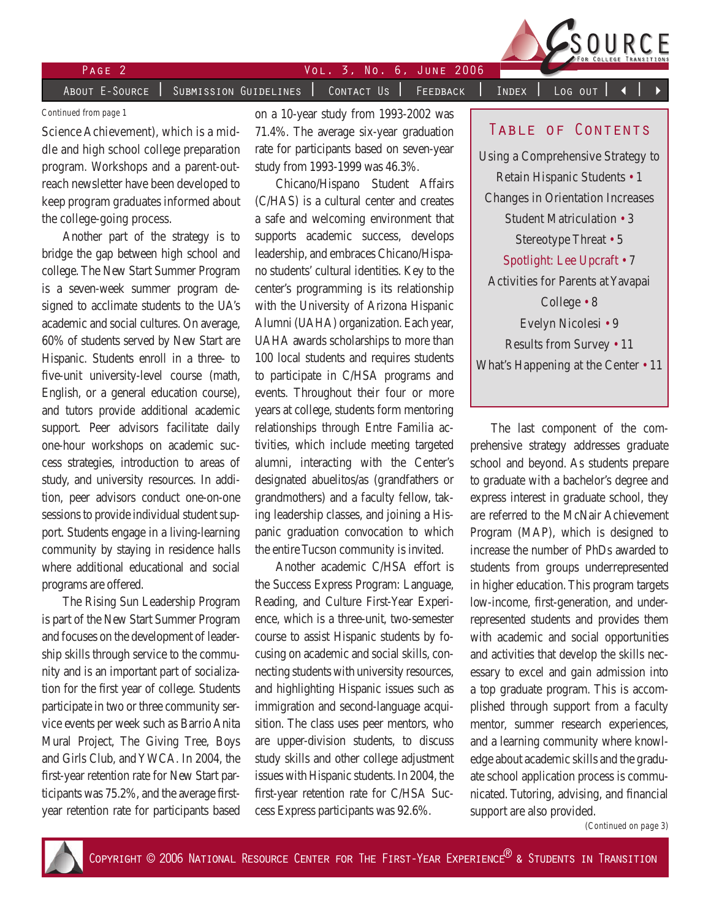

### Page Vol. 3, No. 6, June 2006 About E-Source | Submission Guidelines | Contact Us | Feedback | Index | Log out

#### *Continued from page 1*

Science Achievement), which is a middle and high school college preparation program. Workshops and a parent-outreach newsletter have been developed to keep program graduates informed about the college-going process.

Another part of the strategy is to bridge the gap between high school and college. The New Start Summer Program is a seven-week summer program designed to acclimate students to the UA's academic and social cultures. On average, 60% of students served by New Start are Hispanic. Students enroll in a three- to five-unit university-level course (math, English, or a general education course), and tutors provide additional academic support. Peer advisors facilitate daily one-hour workshops on academic success strategies, introduction to areas of study, and university resources. In addition, peer advisors conduct one-on-one sessions to provide individual student support. Students engage in a living-learning community by staying in residence halls where additional educational and social programs are offered.

The Rising Sun Leadership Program is part of the New Start Summer Program and focuses on the development of leadership skills through service to the community and is an important part of socialization for the first year of college. Students participate in two or three community service events per week such as Barrio Anita Mural Project, The Giving Tree, Boys and Girls Club, and YWCA. In 2004, the first-year retention rate for New Start participants was 75.2%, and the average firstyear retention rate for participants based on a 10-year study from 1993-2002 was 71.4%. The average six-year graduation rate for participants based on seven-year study from 1993-1999 was 46.3%.

Chicano/Hispano Student Affairs (C/HAS) is a cultural center and creates a safe and welcoming environment that supports academic success, develops leadership, and embraces Chicano/Hispano students' cultural identities. Key to the center's programming is its relationship with the University of Arizona Hispanic Alumni (UAHA) organization. Each year, UAHA awards scholarships to more than 100 local students and requires students to participate in C/HSA programs and events. Throughout their four or more years at college, students form mentoring relationships through Entre Familia activities, which include meeting targeted alumni, interacting with the Center's designated abuelitos/as (grandfathers or grandmothers) and a faculty fellow, taking leadership classes, and joining a Hispanic graduation convocation to which the entire Tucson community is invited.

Another academic C/HSA effort is the Success Express Program: Language, Reading, and Culture First-Year Experience, which is a three-unit, two-semester course to assist Hispanic students by focusing on academic and social skills, connecting students with university resources, and highlighting Hispanic issues such as immigration and second-language acquisition. The class uses peer mentors, who are upper-division students, to discuss study skills and other college adjustment issues with Hispanic students. In 2004, the first-year retention rate for C/HSA Success Express participants was 92.6%.

### TABLE OF CONTENTS

Using a Comprehensive Strategy to Retain Hispanic Students • 1 Changes in Orientation Increases Student Matriculation • 3 Stereotype Threat • 5 Spotlight: Lee Upcraft • 7 Activities for Parents at Yavapai College • 8 Evelyn Nicolesi • 9 Results from Survey • 11 What's Happening at the Center • 11

The last component of the comprehensive strategy addresses graduate school and beyond. As students prepare to graduate with a bachelor's degree and express interest in graduate school, they are referred to the McNair Achievement Program (MAP), which is designed to increase the number of PhDs awarded to students from groups underrepresented in higher education. This program targets low-income, first-generation, and underrepresented students and provides them with academic and social opportunities and activities that develop the skills necessary to excel and gain admission into a top graduate program. This is accomplished through support from a faculty mentor, summer research experiences, and a learning community where knowledge about academic skills and the graduate school application process is communicated. Tutoring, advising, and financial support are also provided.

*(Continued on page 3)*

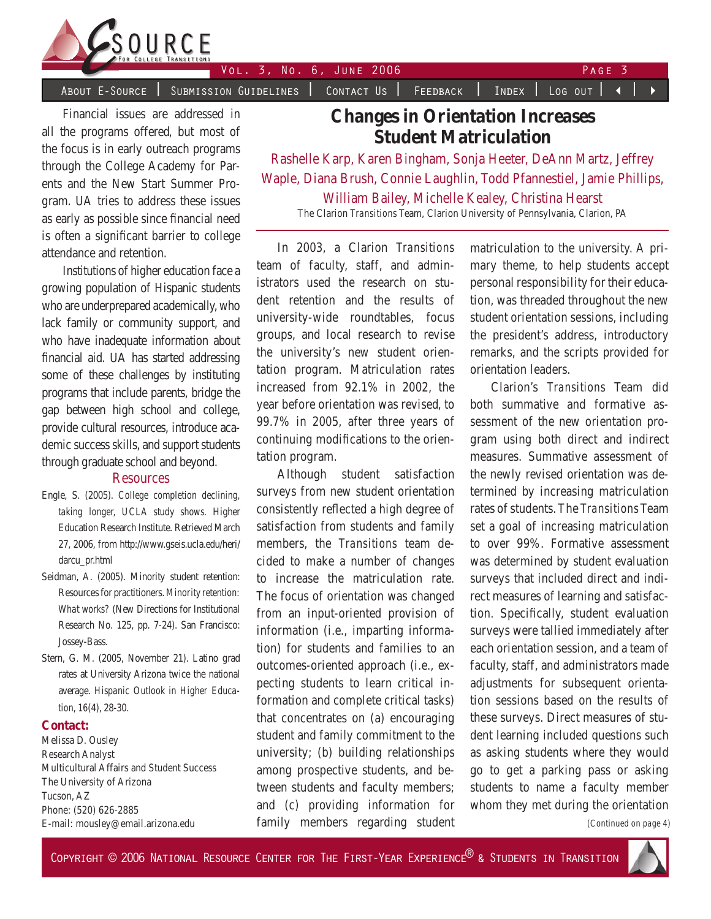

About E-Source | Submission Guidelines | Contact Us | Feedback | Index | Log out | 4

Financial issues are addressed in all the programs offered, but most of the focus is in early outreach programs through the College Academy for Parents and the New Start Summer Program. UA tries to address these issues as early as possible since financial need is often a significant barrier to college attendance and retention.

Institutions of higher education face a growing population of Hispanic students who are underprepared academically, who lack family or community support, and who have inadequate information about financial aid. UA has started addressing some of these challenges by instituting programs that include parents, bridge the gap between high school and college, provide cultural resources, introduce academic success skills, and support students through graduate school and beyond.

#### **Resources**

- Engle, S. (2005). *College completion declining, taking longer, UCLA study shows.* Higher Education Research Institute. Retrieved March 27, 2006, from http://www.gseis.ucla.edu/heri/ darcu\_pr.html
- Seidman, A. (2005). Minority student retention: Resources for practitioners. *Minority retention: What works?* (New Directions for Institutional Research No. 125, pp. 7-24). San Francisco: Jossey-Bass.
- Stern, G. M. (2005, November 21). Latino grad rates at University Arizona twice the national average. *Hispanic Outlook in Higher Education, 16*(4), 28-30.

#### **Contact:**

Melissa D. Ousley Research Analyst Multicultural Affairs and Student Success The University of Arizona Tucson, AZ Phone: (520) 626-2885 E-mail: mousley@email.arizona.edu

**Changes in Orientation Increases Student Matriculation**

Rashelle Karp, Karen Bingham, Sonja Heeter, DeAnn Martz, Jeffrey Waple, Diana Brush, Connie Laughlin, Todd Pfannestiel, Jamie Phillips, William Bailey, Michelle Kealey, Christina Hearst The Clarion *Transitions* Team, Clarion University of Pennsylvania, Clarion, PA

In 2003, a Clarion *Transitions* team of faculty, staff, and administrators used the research on student retention and the results of university-wide roundtables, focus groups, and local research to revise the university's new student orientation program. Matriculation rates increased from 92.1% in 2002, the year before orientation was revised, to 99.7% in 2005, after three years of continuing modifications to the orientation program.

Although student satisfaction surveys from new student orientation consistently reflected a high degree of satisfaction from students and family members, the *Transitions* team decided to make a number of changes to increase the matriculation rate. The focus of orientation was changed from an input-oriented provision of information (i.e., imparting information) for students and families to an outcomes-oriented approach (i.e., expecting students to learn critical information and complete critical tasks) that concentrates on (a) encouraging student and family commitment to the university; (b) building relationships among prospective students, and between students and faculty members; and (c) providing information for family members regarding student

matriculation to the university. A primary theme, to help students accept personal responsibility for their education, was threaded throughout the new student orientation sessions, including the president's address, introductory remarks, and the scripts provided for orientation leaders.

Clarion's *Transitions* Team did both summative and formative assessment of the new orientation program using both direct and indirect measures. Summative assessment of the newly revised orientation was determined by increasing matriculation rates of students. The *Transitions* Team set a goal of increasing matriculation to over 99%. Formative assessment was determined by student evaluation surveys that included direct and indirect measures of learning and satisfaction. Specifically, student evaluation surveys were tallied immediately after each orientation session, and a team of faculty, staff, and administrators made adjustments for subsequent orientation sessions based on the results of these surveys. Direct measures of student learning included questions such as asking students where they would go to get a parking pass or asking students to name a faculty member whom they met during the orientation

*(Continued on page 4)*

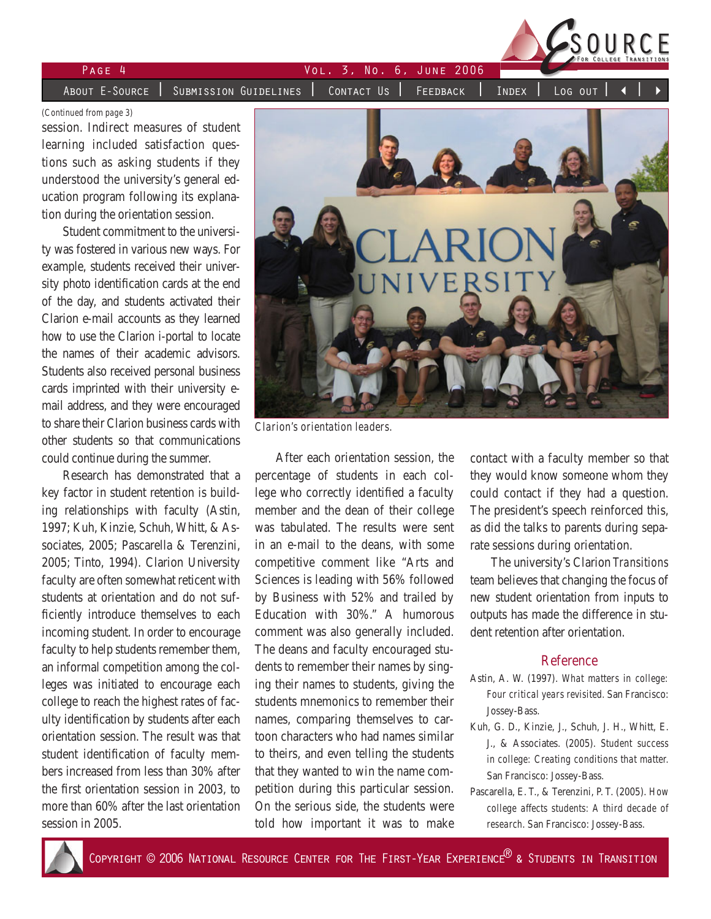

|        |  | FOR COLLEGE TRANSITION                                                                                                                                                          |
|--------|--|---------------------------------------------------------------------------------------------------------------------------------------------------------------------------------|
| PAGF 4 |  |                                                                                                                                                                                 |
|        |  |                                                                                                                                                                                 |
|        |  | <code>About E-Source</code> $\mid$ Submission Guidelines $\mid$ Contact Us $\mid$ Feedback $\mid$ Index $\mid$ Log out $\mid$ $\blacktriangleleft$ $\mid$ $\blacktriangleright$ |

*(Continued from page 3)*

session. Indirect measures of student learning included satisfaction questions such as asking students if they understood the university's general education program following its explanation during the orientation session.

Student commitment to the university was fostered in various new ways. For example, students received their university photo identification cards at the end of the day, and students activated their Clarion e-mail accounts as they learned how to use the Clarion i-portal to locate the names of their academic advisors. Students also received personal business cards imprinted with their university email address, and they were encouraged to share their Clarion business cards with other students so that communications could continue during the summer.

Research has demonstrated that a key factor in student retention is building relationships with faculty (Astin, 1997; Kuh, Kinzie, Schuh, Whitt, & Associates, 2005; Pascarella & Terenzini, 2005; Tinto, 1994). Clarion University faculty are often somewhat reticent with students at orientation and do not sufficiently introduce themselves to each incoming student. In order to encourage faculty to help students remember them, an informal competition among the colleges was initiated to encourage each college to reach the highest rates of faculty identification by students after each orientation session. The result was that student identification of faculty members increased from less than 30% after the first orientation session in 2003, to more than 60% after the last orientation session in 2005.



*Clarion's orientation leaders.*

After each orientation session, the percentage of students in each college who correctly identified a faculty member and the dean of their college was tabulated. The results were sent in an e-mail to the deans, with some competitive comment like "Arts and Sciences is leading with 56% followed by Business with 52% and trailed by Education with 30%." A humorous comment was also generally included. The deans and faculty encouraged students to remember their names by singing their names to students, giving the students mnemonics to remember their names, comparing themselves to cartoon characters who had names similar to theirs, and even telling the students that they wanted to win the name competition during this particular session. On the serious side, the students were told how important it was to make

contact with a faculty member so that they would know someone whom they could contact if they had a question. The president's speech reinforced this, as did the talks to parents during separate sessions during orientation.

The university's Clarion *Transitions* team believes that changing the focus of new student orientation from inputs to outputs has made the difference in student retention after orientation.

#### Reference

- Astin, A. W. (1997). *What matters in college: Four critical years revisited.* San Francisco: Jossey-Bass.
- Kuh, G. D., Kinzie, J., Schuh, J. H., Whitt, E. J., & Associates. (2005). *Student success in college: Creating conditions that matter.*  San Francisco: Jossey-Bass.
- Pascarella, E. T., & Terenzini, P. T. (2005). *How college affects students: A third decade of research*. San Francisco: Jossey-Bass.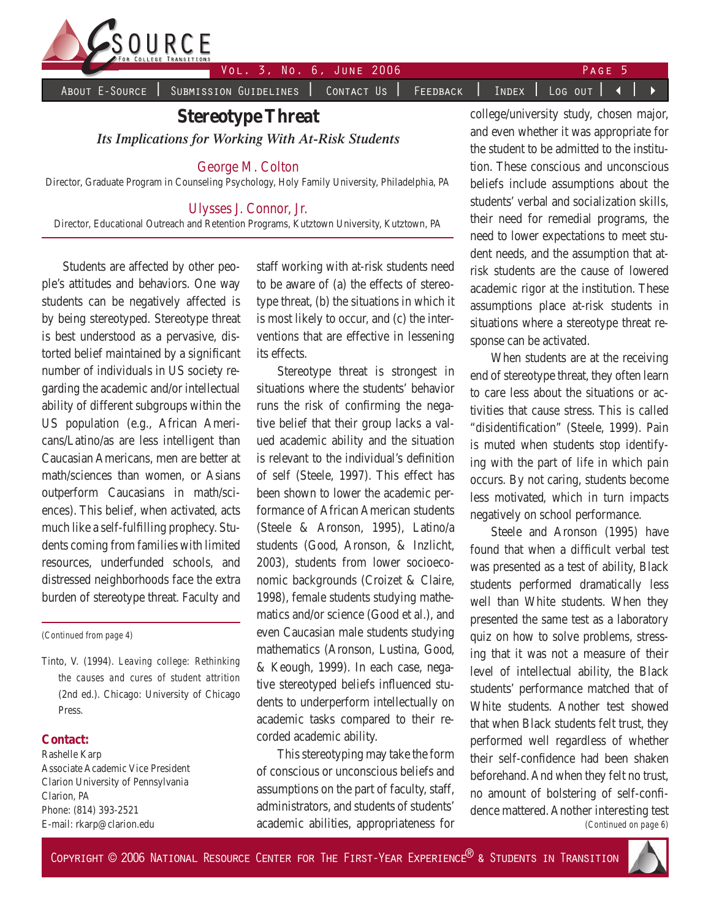

About E-Source | Submission Guidelines | Contact Us | Feedback | Index | Log out | 4

## **Stereotype Threat** *Its Implications for Working With At-Risk Students*

### George M. Colton

Director, Graduate Program in Counseling Psychology, Holy Family University, Philadelphia, PA

### Ulysses J. Connor, Jr.

Director, Educational Outreach and Retention Programs, Kutztown University, Kutztown, PA

Students are affected by other people's attitudes and behaviors. One way students can be negatively affected is by being stereotyped. Stereotype threat is best understood as a pervasive, distorted belief maintained by a significant number of individuals in US society regarding the academic and/or intellectual ability of different subgroups within the US population (e.g., African Americans/Latino/as are less intelligent than Caucasian Americans, men are better at math/sciences than women, or Asians outperform Caucasians in math/sciences). This belief, when activated, acts much like a self-fulfilling prophecy. Students coming from families with limited resources, underfunded schools, and distressed neighborhoods face the extra burden of stereotype threat. Faculty and

*(Continued from page 4)*

Tinto, V. (1994). *Leaving college: Rethinking the causes and cures of student attrition*  (2nd ed.). Chicago: University of Chicago Press.

#### **Contact:**

Rashelle Karp Associate Academic Vice President Clarion University of Pennsylvania Clarion, PA Phone: (814) 393-2521 E-mail: rkarp@clarion.edu

staff working with at-risk students need to be aware of (a) the effects of stereotype threat, (b) the situations in which it is most likely to occur, and (c) the interventions that are effective in lessening its effects.

Stereotype threat is strongest in situations where the students' behavior runs the risk of confirming the negative belief that their group lacks a valued academic ability and the situation is relevant to the individual's definition of self (Steele, 1997). This effect has been shown to lower the academic performance of African American students (Steele & Aronson, 1995), Latino/a students (Good, Aronson, & Inzlicht, 2003), students from lower socioeconomic backgrounds (Croizet & Claire, 1998), female students studying mathematics and/or science (Good et al.), and even Caucasian male students studying mathematics (Aronson, Lustina, Good, & Keough, 1999). In each case, negative stereotyped beliefs influenced students to underperform intellectually on academic tasks compared to their recorded academic ability.

This stereotyping may take the form of conscious or unconscious beliefs and assumptions on the part of faculty, staff, administrators, and students of students' academic abilities, appropriateness for college/university study, chosen major, and even whether it was appropriate for the student to be admitted to the institution. These conscious and unconscious beliefs include assumptions about the students' verbal and socialization skills, their need for remedial programs, the need to lower expectations to meet student needs, and the assumption that atrisk students are the cause of lowered academic rigor at the institution. These assumptions place at-risk students in situations where a stereotype threat response can be activated.

When students are at the receiving end of stereotype threat, they often learn to care less about the situations or activities that cause stress. This is called "disidentification" (Steele, 1999). Pain is muted when students stop identifying with the part of life in which pain occurs. By not caring, students become less motivated, which in turn impacts negatively on school performance.

*(Continued on page 6)* Steele and Aronson (1995) have found that when a difficult verbal test was presented as a test of ability, Black students performed dramatically less well than White students. When they presented the same test as a laboratory quiz on how to solve problems, stressing that it was not a measure of their level of intellectual ability, the Black students' performance matched that of White students. Another test showed that when Black students felt trust, they performed well regardless of whether their self-confidence had been shaken beforehand. And when they felt no trust, no amount of bolstering of self-confidence mattered. Another interesting test

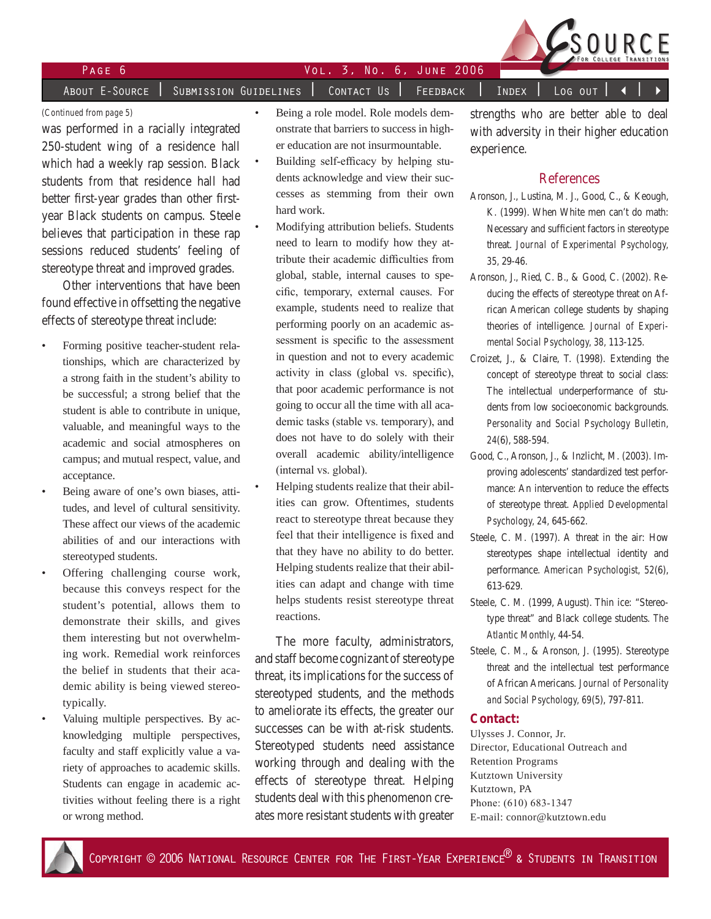

### Page Vol. 3, No. 6, June 2006

•

•

A<u>bout E-Source | Subm</u>ission Guidelines | Contact Us | Feedback | Index | Log out

*(Continued from page 5)*

was performed in a racially integrated 250-student wing of a residence hall which had a weekly rap session. Black students from that residence hall had better first-year grades than other firstyear Black students on campus. Steele believes that participation in these rap sessions reduced students' feeling of stereotype threat and improved grades.

Other interventions that have been found effective in offsetting the negative effects of stereotype threat include:

- Forming positive teacher-student relationships, which are characterized by a strong faith in the student's ability to be successful; a strong belief that the student is able to contribute in unique, valuable, and meaningful ways to the academic and social atmospheres on campus; and mutual respect, value, and acceptance. •
- Being aware of one's own biases, attitudes, and level of cultural sensitivity. These affect our views of the academic abilities of and our interactions with stereotyped students. •
- Offering challenging course work, because this conveys respect for the student's potential, allows them to demonstrate their skills, and gives them interesting but not overwhelming work. Remedial work reinforces the belief in students that their academic ability is being viewed stereotypically. •
	- Valuing multiple perspectives. By acknowledging multiple perspectives, faculty and staff explicitly value a variety of approaches to academic skills. Students can engage in academic activities without feeling there is a right or wrong method.
- Being a role model. Role models demonstrate that barriers to success in higher education are not insurmountable.
- Building self-efficacy by helping students acknowledge and view their successes as stemming from their own hard work. •
- Modifying attribution beliefs. Students need to learn to modify how they attribute their academic difficulties from global, stable, internal causes to specific, temporary, external causes. For example, students need to realize that performing poorly on an academic assessment is specific to the assessment in question and not to every academic activity in class (global vs. specific), that poor academic performance is not going to occur all the time with all academic tasks (stable vs. temporary), and does not have to do solely with their overall academic ability/intelligence (internal vs. global). •
- Helping students realize that their abilities can grow. Oftentimes, students react to stereotype threat because they feel that their intelligence is fixed and that they have no ability to do better. Helping students realize that their abilities can adapt and change with time helps students resist stereotype threat reactions.

The more faculty, administrators, and staff become cognizant of stereotype threat, its implications for the success of stereotyped students, and the methods to ameliorate its effects, the greater our successes can be with at-risk students. Stereotyped students need assistance working through and dealing with the effects of stereotype threat. Helping students deal with this phenomenon creates more resistant students with greater

strengths who are better able to deal with adversity in their higher education experience.

### References

- Aronson, J., Lustina, M. J., Good, C., & Keough, K. (1999). When White men can't do math: Necessary and sufficient factors in stereotype threat. *Journal of Experimental Psychology, 35,* 29-46.
- Aronson, J., Ried, C. B., & Good, C. (2002). Reducing the effects of stereotype threat on African American college students by shaping theories of intelligence. *Journal of Experimental Social Psychology, 38,* 113-125.
- Croizet, J., & Claire, T. (1998). Extending the concept of stereotype threat to social class: The intellectual underperformance of students from low socioeconomic backgrounds. *Personality and Social Psychology Bulletin, 24*(6), 588-594.
- Good, C., Aronson, J., & Inzlicht, M. (2003). Improving adolescents' standardized test performance: An intervention to reduce the effects of stereotype threat. *Applied Developmental Psychology, 24,* 645-662.
- Steele, C. M. (1997). A threat in the air: How stereotypes shape intellectual identity and performance. *American Psychologist, 52*(6), 613-629.
- Steele, C. M. (1999, August). Thin ice: "Stereotype threat" and Black college students. *The Atlantic Monthly,* 44-54.
- Steele, C. M., & Aronson, J. (1995). Stereotype threat and the intellectual test performance of African Americans. *Journal of Personality and Social Psychology, 69*(5), 797-811.

#### **Contact:**

Ulysses J. Connor, Jr. Director, Educational Outreach and Retention Programs Kutztown University Kutztown, PA Phone: (610) 683-1347 E-mail: connor@kutztown.edu



•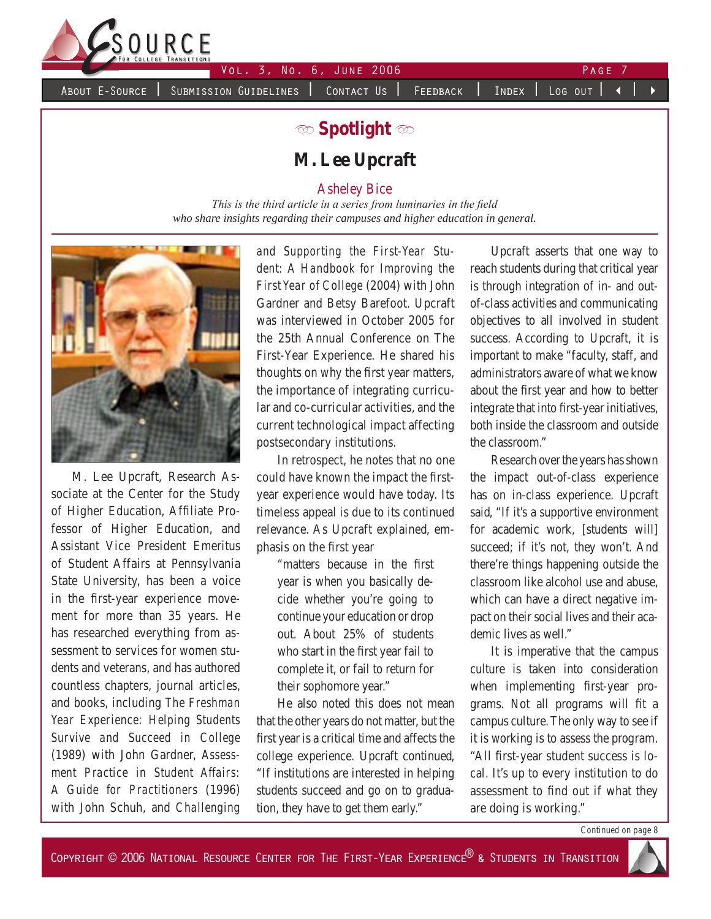

About E-Source | Submission Guidelines | Contact Us | Feedback | Index | Log out |

# **b Spotlight**  $\infty$ **M. Lee Upcraft**

Asheley Bice

*This is the third article in a series from luminaries in the field who share insights regarding their campuses and higher education in general.*



M. Lee Upcraft, Research Associate at the Center for the Study of Higher Education, Affiliate Professor of Higher Education, and Assistant Vice President Emeritus of Student Affairs at Pennsylvania State University, has been a voice in the first-year experience movement for more than 35 years. He has researched everything from assessment to services for women students and veterans, and has authored countless chapters, journal articles, and books, including *The Freshman Year Experience: Helping Students Survive and Succeed in College* (1989) with John Gardner, *Assessment Practice in Student Affairs: A Guide for Practitioners* (1996) with John Schuh, and *Challenging*  *and Supporting the First-Year Student: A Handbook for Improving the First Year of College* (2004) with John Gardner and Betsy Barefoot. Upcraft was interviewed in October 2005 for the 25th Annual Conference on The First-Year Experience. He shared his thoughts on why the first year matters, the importance of integrating curricular and co-curricular activities, and the current technological impact affecting postsecondary institutions.

In retrospect, he notes that no one could have known the impact the firstyear experience would have today. Its timeless appeal is due to its continued relevance. As Upcraft explained, emphasis on the first year

> "matters because in the first year is when you basically decide whether you're going to continue your education or drop out. About 25% of students who start in the first year fail to complete it, or fail to return for their sophomore year."

He also noted this does not mean that the other years do not matter, but the first year is a critical time and affects the college experience. Upcraft continued, "If institutions are interested in helping students succeed and go on to graduation, they have to get them early."

Upcraft asserts that one way to reach students during that critical year is through integration of in- and outof-class activities and communicating objectives to all involved in student success. According to Upcraft, it is important to make "faculty, staff, and administrators aware of what we know about the first year and how to better integrate that into first-year initiatives, both inside the classroom and outside the classroom."

Research over the years has shown the impact out-of-class experience has on in-class experience. Upcraft said, "If it's a supportive environment for academic work, [students will] succeed; if it's not, they won't. And there're things happening outside the classroom like alcohol use and abuse, which can have a direct negative impact on their social lives and their academic lives as well."

It is imperative that the campus culture is taken into consideration when implementing first-year programs. Not all programs will fit a campus culture. The only way to see if it is working is to assess the program. "All first-year student success is local. It's up to every institution to do assessment to find out if what they are doing is working."

*Continued on page 8*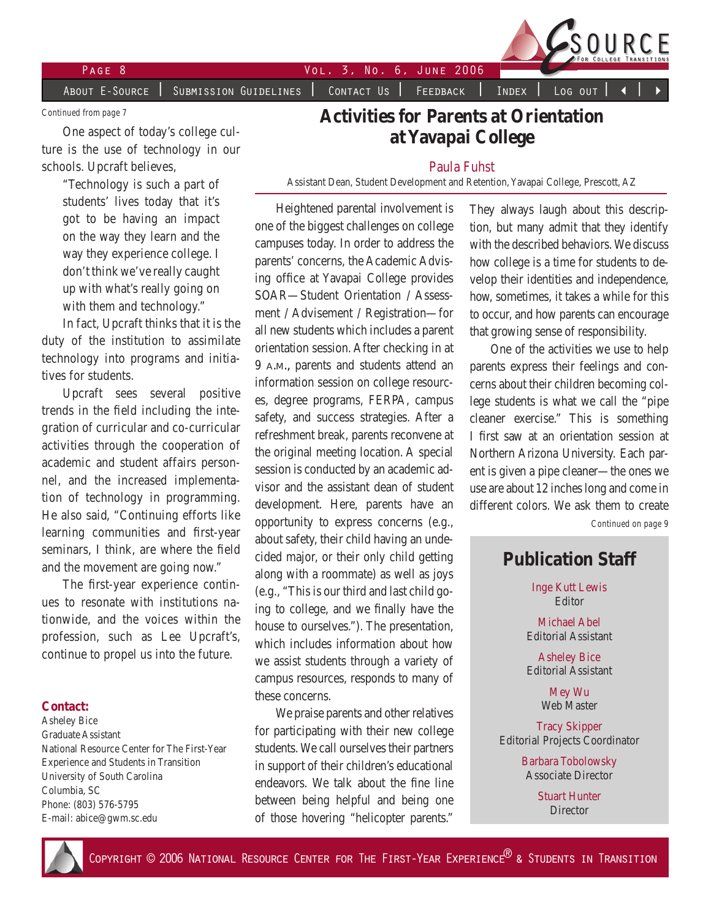PAGE 8 2006 2006 2006 2007 2008

About E-Source | Submission Guidelines | Contact Us | Feedback | Index | Log out

*Continued from page 7*

One aspect of today's college culture is the use of technology in our schools. Upcraft believes,

> "Technology is such a part of students' lives today that it's got to be having an impact on the way they learn and the way they experience college. I don't think we've really caught up with what's really going on with them and technology."

In fact, Upcraft thinks that it is the duty of the institution to assimilate technology into programs and initiatives for students.

Upcraft sees several positive trends in the field including the integration of curricular and co-curricular activities through the cooperation of academic and student affairs personnel, and the increased implementation of technology in programming. He also said, "Continuing efforts like learning communities and first-year seminars, I think, are where the field and the movement are going now."

The first-year experience continues to resonate with institutions nationwide, and the voices within the profession, such as Lee Upcraft's, continue to propel us into the future.

#### **Contact:**

Asheley Bice Graduate Assistant National Resource Center for The First-Year Experience and Students in Transition University of South Carolina Columbia, SC Phone: (803) 576-5795 E-mail: abice@gwm.sc.edu

## **Activities for Parents at Orientation at Yavapai College**

#### Paula Fuhst

Assistant Dean, Student Development and Retention, Yavapai College, Prescott, AZ

Heightened parental involvement is one of the biggest challenges on college campuses today. In order to address the parents' concerns, the Academic Advising office at Yavapai College provides SOAR—Student Orientation / Assessment / Advisement / Registration—for all new students which includes a parent orientation session. After checking in at 9 a.m., parents and students attend an information session on college resources, degree programs, FERPA, campus safety, and success strategies. After a refreshment break, parents reconvene at the original meeting location. A special session is conducted by an academic advisor and the assistant dean of student development. Here, parents have an opportunity to express concerns (e.g., about safety, their child having an undecided major, or their only child getting along with a roommate) as well as joys (e.g., "This is our third and last child going to college, and we finally have the house to ourselves."). The presentation, which includes information about how we assist students through a variety of campus resources, responds to many of these concerns.

We praise parents and other relatives for participating with their new college students. We call ourselves their partners in support of their children's educational endeavors. We talk about the fine line between being helpful and being one of those hovering "helicopter parents."

They always laugh about this description, but many admit that they identify with the described behaviors. We discuss how college is a time for students to develop their identities and independence, how, sometimes, it takes a while for this to occur, and how parents can encourage that growing sense of responsibility.

One of the activities we use to help parents express their feelings and concerns about their children becoming college students is what we call the "pipe cleaner exercise." This is something I first saw at an orientation session at Northern Arizona University. Each parent is given a pipe cleaner—the ones we use are about 12 inches long and come in different colors. We ask them to create

*Continued on page 9*

### **Publication Staff**

Inge Kutt Lewis Editor

Michael Abel Editorial Assistant

Asheley Bice Editorial Assistant

> Mey Wu Web Master

Tracy Skipper Editorial Projects Coordinator

> Barbara Tobolowsky Associate Director

> > Stuart Hunter **Director**

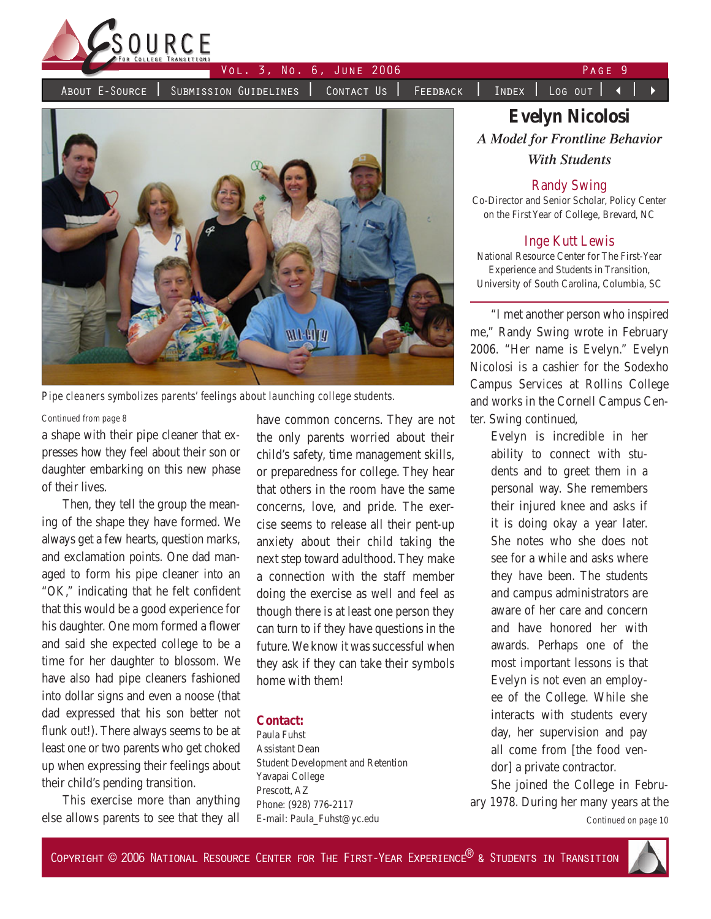

About E-Source | Submission Guidelines | Contact Us | Feedback | Index | Log out | < |



*Pipe cleaners symbolizes parents' feelings about launching college students.*

#### *Continued from page 8*

a shape with their pipe cleaner that expresses how they feel about their son or daughter embarking on this new phase of their lives.

Then, they tell the group the meaning of the shape they have formed. We always get a few hearts, question marks, and exclamation points. One dad managed to form his pipe cleaner into an "OK," indicating that he felt confident that this would be a good experience for his daughter. One mom formed a flower and said she expected college to be a time for her daughter to blossom. We have also had pipe cleaners fashioned into dollar signs and even a noose (that dad expressed that his son better not flunk out!). There always seems to be at least one or two parents who get choked up when expressing their feelings about their child's pending transition.

This exercise more than anything else allows parents to see that they all have common concerns. They are not the only parents worried about their child's safety, time management skills, or preparedness for college. They hear that others in the room have the same concerns, love, and pride. The exercise seems to release all their pent-up anxiety about their child taking the next step toward adulthood. They make a connection with the staff member doing the exercise as well and feel as though there is at least one person they can turn to if they have questions in the future. We know it was successful when they ask if they can take their symbols home with them!

### **Contact:**

Paula Fuhst Assistant Dean Student Development and Retention Yavapai College Prescott, AZ Phone: (928) 776-2117 E-mail: Paula\_Fuhst@yc.edu

# **Evelyn Nicolosi** *A Model for Frontline Behavior With Students*

#### Randy Swing

Co-Director and Senior Scholar, Policy Center on the First Year of College, Brevard, NC

### Inge Kutt Lewis

National Resource Center for The First-Year Experience and Students in Transition, University of South Carolina, Columbia, SC

"I met another person who inspired me," Randy Swing wrote in February 2006. "Her name is Evelyn." Evelyn Nicolosi is a cashier for the Sodexho Campus Services at Rollins College and works in the Cornell Campus Center. Swing continued,

Evelyn is incredible in her ability to connect with students and to greet them in a personal way. She remembers their injured knee and asks if it is doing okay a year later. She notes who she does not see for a while and asks where they have been. The students and campus administrators are aware of her care and concern and have honored her with awards. Perhaps one of the most important lessons is that Evelyn is not even an employee of the College. While she interacts with students every day, her supervision and pay all come from [the food vendor] a private contractor.

She joined the College in February 1978. During her many years at the

*Continued on page 10*

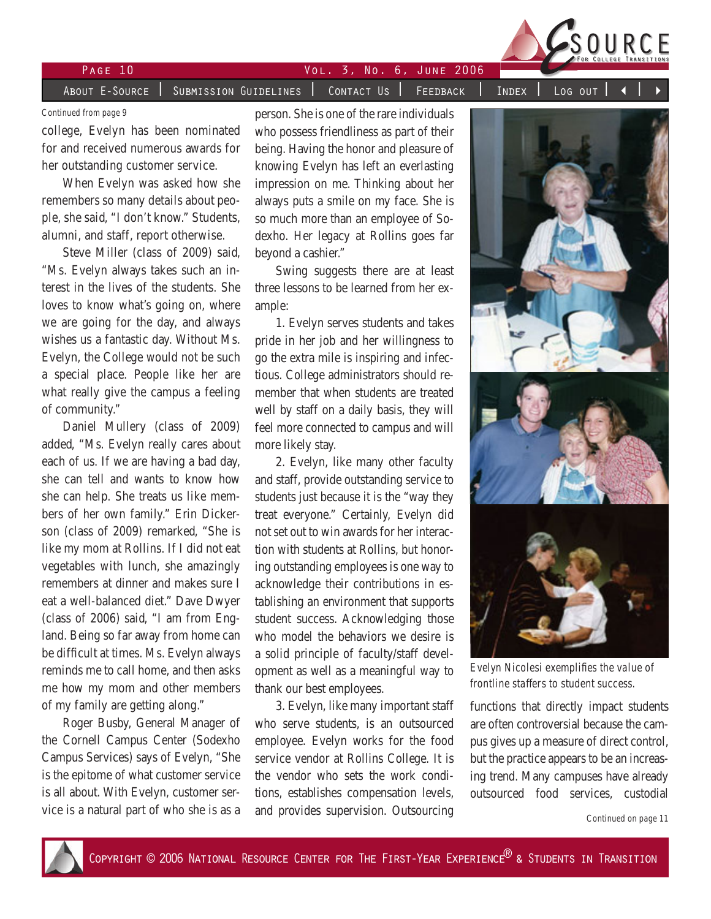

# Page 10 Vol. 3, No. 6, June 2006

About E-Source | Submission Guidelines | Contact Us | Feedback | Index | Log out

*Continued from page 9*

college, Evelyn has been nominated for and received numerous awards for her outstanding customer service.

When Evelyn was asked how she remembers so many details about people, she said, "I don't know." Students, alumni, and staff, report otherwise.

Steve Miller (class of 2009) said, "Ms. Evelyn always takes such an interest in the lives of the students. She loves to know what's going on, where we are going for the day, and always wishes us a fantastic day. Without Ms. Evelyn, the College would not be such a special place. People like her are what really give the campus a feeling of community."

Daniel Mullery (class of 2009) added, "Ms. Evelyn really cares about each of us. If we are having a bad day, she can tell and wants to know how she can help. She treats us like members of her own family." Erin Dickerson (class of 2009) remarked, "She is like my mom at Rollins. If I did not eat vegetables with lunch, she amazingly remembers at dinner and makes sure I eat a well-balanced diet." Dave Dwyer (class of 2006) said, "I am from England. Being so far away from home can be difficult at times. Ms. Evelyn always reminds me to call home, and then asks me how my mom and other members of my family are getting along."

Roger Busby, General Manager of the Cornell Campus Center (Sodexho Campus Services) says of Evelyn, "She is the epitome of what customer service is all about. With Evelyn, customer service is a natural part of who she is as a

person. She is one of the rare individuals who possess friendliness as part of their being. Having the honor and pleasure of knowing Evelyn has left an everlasting impression on me. Thinking about her always puts a smile on my face. She is so much more than an employee of Sodexho. Her legacy at Rollins goes far beyond a cashier."

Swing suggests there are at least three lessons to be learned from her example:

1. Evelyn serves students and takes pride in her job and her willingness to go the extra mile is inspiring and infectious. College administrators should remember that when students are treated well by staff on a daily basis, they will feel more connected to campus and will more likely stay.

2. Evelyn, like many other faculty and staff, provide outstanding service to students just because it is the "way they treat everyone." Certainly, Evelyn did not set out to win awards for her interaction with students at Rollins, but honoring outstanding employees is one way to acknowledge their contributions in establishing an environment that supports student success. Acknowledging those who model the behaviors we desire is a solid principle of faculty/staff development as well as a meaningful way to thank our best employees.

3. Evelyn, like many important staff who serve students, is an outsourced employee. Evelyn works for the food service vendor at Rollins College. It is the vendor who sets the work conditions, establishes compensation levels, and provides supervision. Outsourcing



*Evelyn Nicolesi exemplifies the value of frontline staffers to student success.*

functions that directly impact students are often controversial because the campus gives up a measure of direct control, but the practice appears to be an increasing trend. Many campuses have already outsourced food services, custodial

*Continued on page 11*

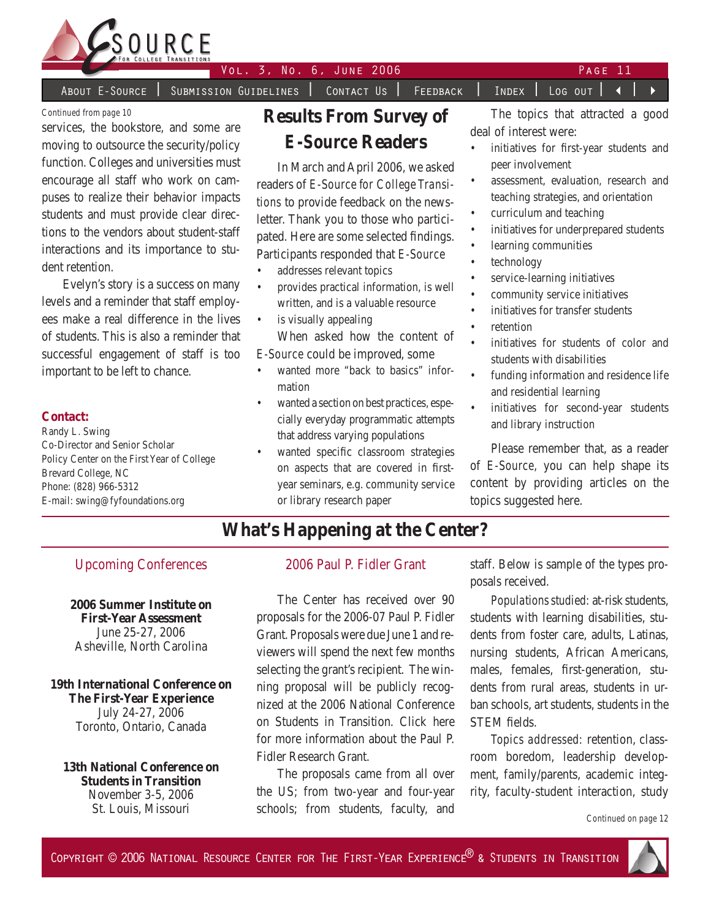

About E-Source | Submission Guidelines | Contact Us | Feedback | Index | Log out | 4

*Continued from page 10*

services, the bookstore, and some are moving to outsource the security/policy function. Colleges and universities must encourage all staff who work on campuses to realize their behavior impacts students and must provide clear directions to the vendors about student-staff interactions and its importance to student retention.

Evelyn's story is a success on many levels and a reminder that staff employees make a real difference in the lives of students. This is also a reminder that successful engagement of staff is too important to be left to chance.

#### **Contact:**

Randy L. Swing Co-Director and Senior Scholar Policy Center on the First Year of College Brevard College, NC Phone: (828) 966-5312 E-mail: swing@fyfoundations.org

# **Results From Survey of**  *E-Source* **Readers**

In March and April 2006, we asked readers of *E-Source for College Transitions* to provide feedback on the newsletter. Thank you to those who participated. Here are some selected findings. Participants responded that *E-Source*

- addresses relevant topics •
- provides practical information, is well written, and is a valuable resource •
- is visually appealing •

When asked how the content of *E-Source* could be improved, some

- wanted more "back to basics" information •
- wanted a section on best practices, especially everyday programmatic attempts that address varying populations •
- wanted specific classroom strategies on aspects that are covered in firstyear seminars, e.g. community service or library research paper •

The topics that attracted a good deal of interest were:

- initiatives for first-year students and peer involvement •
- assessment, evaluation, research and teaching strategies, and orientation •
- curriculum and teaching •
- initiatives for underprepared students •
- learning communities •
- technology •
- service-learning initiatives •
- community service initiatives •
- initiatives for transfer students •
- retention •
- initiatives for students of color and students with disabilities •
- funding information and residence life and residential learning •
- initiatives for second-year students and library instruction •

Please remember that, as a reader of *E-Source,* you can help shape its content by providing articles on the topics suggested here.

## **What's Happening at the Center?**

### Upcoming Conferences

**2006 Summer Institute on First-Year Assessment** June 25-27, 2006 Asheville, North Carolina

**19th International Conference on The First-Year Experience** July 24-27, 2006 Toronto, Ontario, Canada

**13th National Conference on Students in Transition** November 3-5, 2006 St. Louis, Missouri

### 2006 Paul P. Fidler Grant

The Center has received over 90 proposals for the 2006-07 Paul P. Fidler Grant. Proposals were due June 1 and reviewers will spend the next few months selecting the grant's recipient. The winning proposal will be publicly recognized at the 2006 National Conference on Students in Transition. Click here for more information about the Paul P. Fidler Research Grant.

The proposals came from all over the US; from two-year and four-year schools; from students, faculty, and staff. Below is sample of the types proposals received.

*Populations studied:* at-risk students, students with learning disabilities, students from foster care, adults, Latinas, nursing students, African Americans, males, females, first-generation, students from rural areas, students in urban schools, art students, students in the STEM fields.

*Topics addressed:* retention, classroom boredom, leadership development, family/parents, academic integrity, faculty-student interaction, study